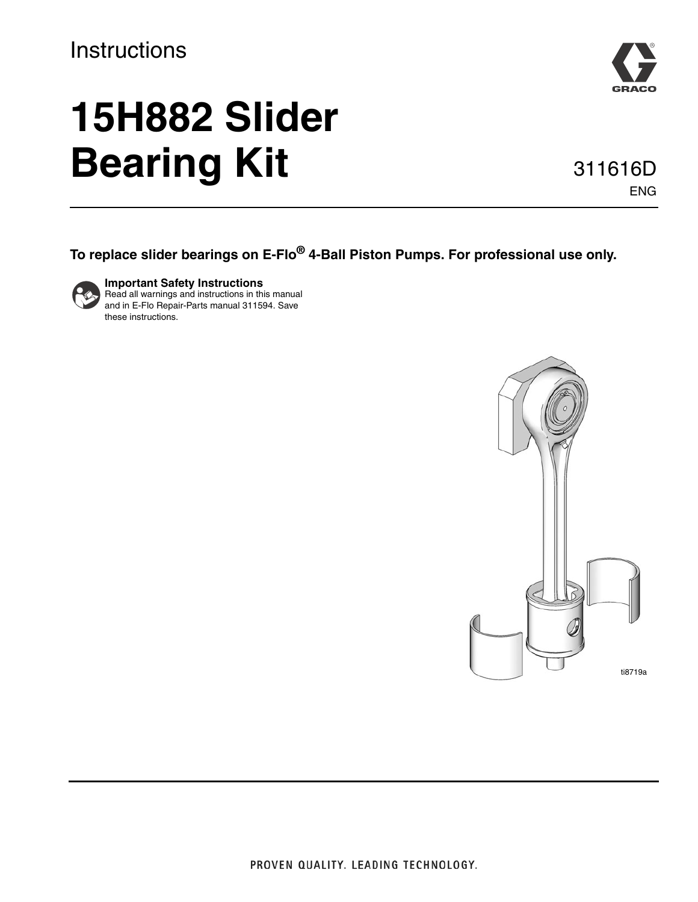## **Instructions**

# **15H882 Slider Bearing Kit**



#### 311616D ENG

#### **To replace slider bearings on E-Flo® 4-Ball Piston Pumps. For professional use only.**



**Important Safety Instructions** Read all warnings and instructions in this manual and in E-Flo Repair-Parts manual 311594. Save these instructions.

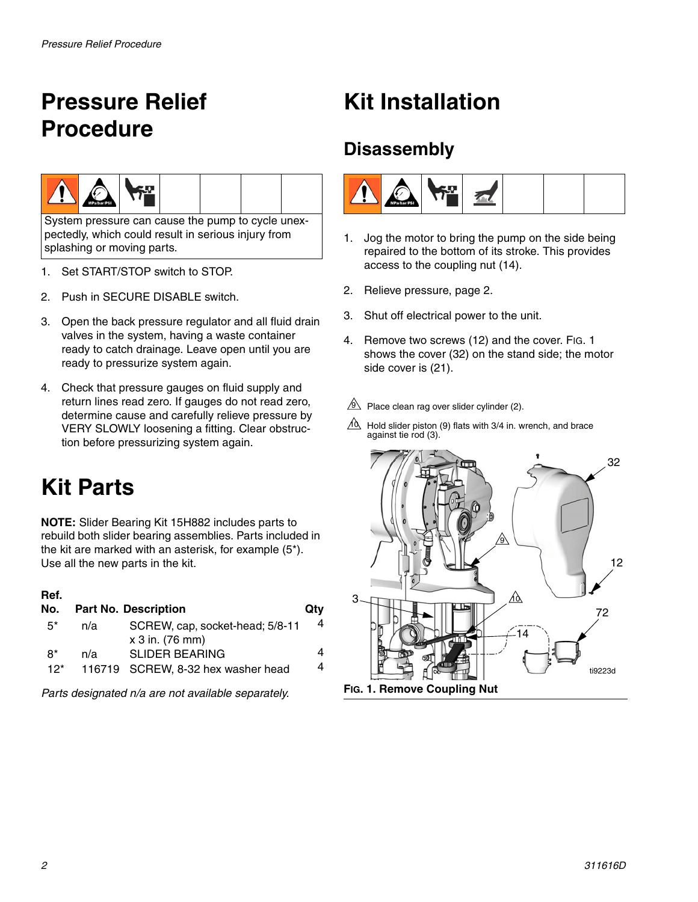## <span id="page-1-0"></span>**Pressure Relief Procedure**



System pressure can cause the pump to cycle unexpectedly, which could result in serious injury from splashing or moving parts.

- 1. Set START/STOP switch to STOP.
- 2. Push in SECURE DISABLE switch.
- 3. Open the back pressure regulator and all fluid drain valves in the system, having a waste container ready to catch drainage. Leave open until you are ready to pressurize system again.
- 4. Check that pressure gauges on fluid supply and return lines read zero. If gauges do not read zero, determine cause and carefully relieve pressure by VERY SLOWLY loosening a fitting. Clear obstruction before pressurizing system again.

# **Kit Parts**

**NOTE:** Slider Bearing Kit 15H882 includes parts to rebuild both slider bearing assemblies. Parts included in the kit are marked with an asterisk, for example (5\*). Use all the new parts in the kit.

| Ref.<br>No.   |     | <b>Part No. Description</b>                                 | Qtv    |
|---------------|-----|-------------------------------------------------------------|--------|
| $5^*$         | n/a | SCREW, cap, socket-head; 5/8-11<br>x 3 in. (76 mm)          | 4      |
| $8*$<br>$12*$ | n/a | <b>SLIDER BEARING</b><br>116719 SCREW, 8-32 hex washer head | 4<br>4 |
|               |     |                                                             |        |

*Parts designated n/a are not available separately.*

## **Kit Installation**

### **Disassembly**



- 1. Jog the motor to bring the pump on the side being repaired to the bottom of its stroke. This provides access to the coupling nut (14).
- 2. Relieve pressure, page [2.](#page-1-0)
- 3. Shut off electrical power to the unit.
- 4. Remove two screws (12) and the cover. FIG. 1 shows the cover (32) on the stand side; the motor side cover is (21).
- $9$  Place clean rag over slider cylinder (2).
- $10 \over 10$  Hold slider piston (9) flats with 3/4 in. wrench, and brace against tie rod (3).

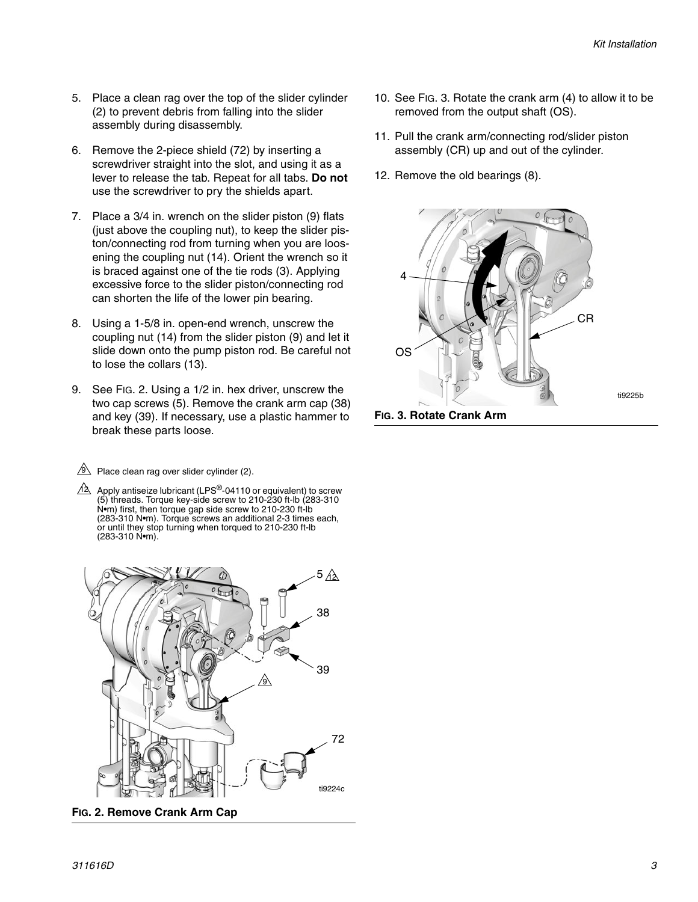- 5. Place a clean rag over the top of the slider cylinder (2) to prevent debris from falling into the slider assembly during disassembly.
- 6. Remove the 2-piece shield (72) by inserting a screwdriver straight into the slot, and using it as a lever to release the tab. Repeat for all tabs. **Do not** use the screwdriver to pry the shields apart.
- 7. Place a 3/4 in. wrench on the slider piston (9) flats (just above the coupling nut), to keep the slider piston/connecting rod from turning when you are loosening the coupling nut (14). Orient the wrench so it is braced against one of the tie rods (3). Applying excessive force to the slider piston/connecting rod can shorten the life of the lower pin bearing.
- 8. Using a 1-5/8 in. open-end wrench, unscrew the coupling nut (14) from the slider piston (9) and let it slide down onto the pump piston rod. Be careful not to lose the collars (13).
- 9. See [FIG. 2](#page-2-0). Using a 1/2 in. hex driver, unscrew the two cap screws (5). Remove the crank arm cap (38) and key (39). If necessary, use a plastic hammer to break these parts loose.

 $9$  Place clean rag over slider cylinder (2).

 $4\overline{\triangle}$  Apply antiseize lubricant (LPS $^\circledR$ -04110 or equivalent) to screw (5) threads. Torque key-side screw to 210-230 ft-lb (283-310 N•m) first, then torque gap side screw to 210-230 ft-lb (283-310 N•m). Torque screws an additional 2-3 times each, or until they stop turning when torqued to 210-230 ft-lb (283-310 N•m).



<span id="page-2-0"></span>**FIG. 2. Remove Crank Arm Cap**

- 10. See [FIG. 3](#page-2-1). Rotate the crank arm (4) to allow it to be removed from the output shaft (OS).
- 11. Pull the crank arm/connecting rod/slider piston assembly (CR) up and out of the cylinder.
- 12. Remove the old bearings (8).



<span id="page-2-1"></span>**FIG. 3. Rotate Crank Arm**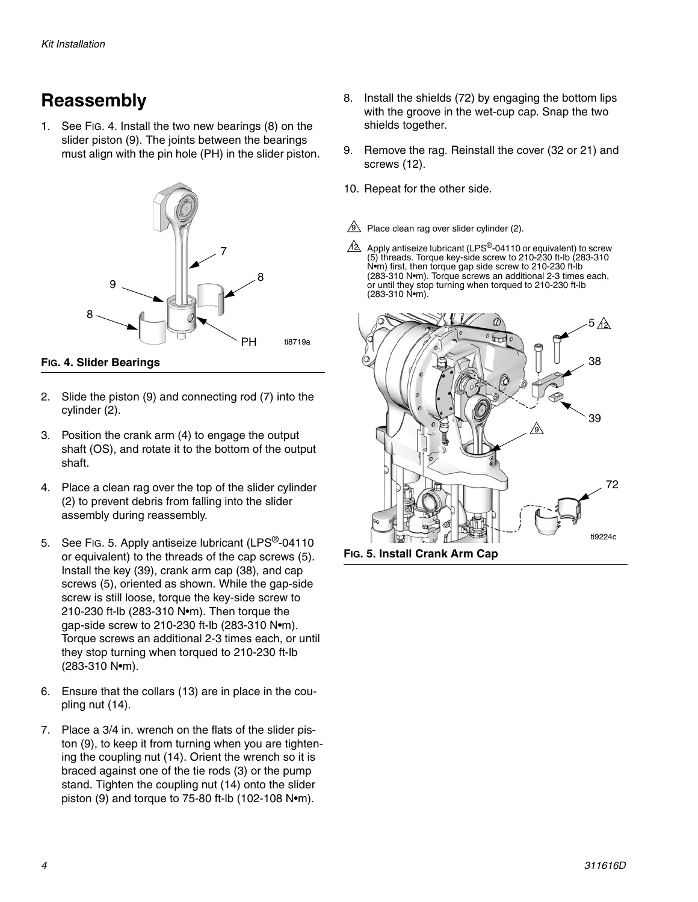## **Reassembly**

1. See [FIG. 4](#page-3-0). Install the two new bearings (8) on the slider piston (9). The joints between the bearings must align with the pin hole (PH) in the slider piston.



<span id="page-3-0"></span>**FIG. 4. Slider Bearings**

- 2. Slide the piston (9) and connecting rod (7) into the cylinder (2).
- 3. Position the crank arm (4) to engage the output shaft (OS), and rotate it to the bottom of the output shaft.
- 4. Place a clean rag over the top of the slider cylinder (2) to prevent debris from falling into the slider assembly during reassembly.
- 5. See [FIG. 5](#page-3-1). Apply antiseize lubricant (LPS<sup>®</sup>-04110) or equivalent) to the threads of the cap screws (5). Install the key (39), crank arm cap (38), and cap screws (5), oriented as shown. While the gap-side screw is still loose, torque the key-side screw to 210-230 ft-lb (283-310 N•m). Then torque the gap-side screw to 210-230 ft-lb (283-310 N•m). Torque screws an additional 2-3 times each, or until they stop turning when torqued to 210-230 ft-lb (283-310 N•m).
- 6. Ensure that the collars (13) are in place in the coupling nut (14).
- 7. Place a 3/4 in. wrench on the flats of the slider piston (9), to keep it from turning when you are tightening the coupling nut (14). Orient the wrench so it is braced against one of the tie rods (3) or the pump stand. Tighten the coupling nut (14) onto the slider piston (9) and torque to 75-80 ft-lb (102-108 N•m).
- 8. Install the shields (72) by engaging the bottom lips with the groove in the wet-cup cap. Snap the two shields together.
- 9. Remove the rag. Reinstall the cover (32 or 21) and screws (12).
- 10. Repeat for the other side.
- $9$  Place clean rag over slider cylinder (2).
- Apply antiseize lubricant (LPS®-04110 or equivalent) to screw (5) threads. Torque key-side screw to 210-230 ft-lb (283-310 N•m) first, then torque gap side screw to 210-230 ft-lb (283-310 N•m). Torque screws an additional 2-3 times each, or until they stop turning when torqued to 210-230 ft-lb (283-310 N•m). <u>12</u>

<span id="page-3-1"></span>

**FIG. 5. Install Crank Arm Cap**